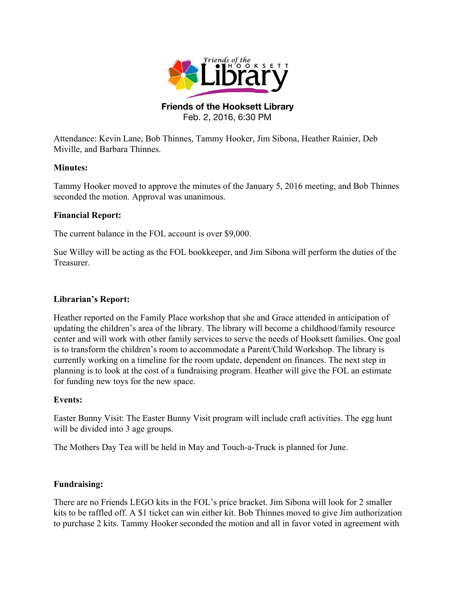

## **Friends of the Hooksett Library** Feb. 2, 2016, 6:30 PM

Attendance: Kevin Lane, Bob Thinnes, Tammy Hooker, Jim Sibona, Heather Rainier, Deb Miville, and Barbara Thinnes.

## **Minutes:**

Tammy Hooker moved to approve the minutes of the January 5, 2016 meeting, and Bob Thinnes seconded the motion. Approval was unanimous.

## **Financial Report:**

The current balance in the FOL account is over \$9,000.

Sue Willey will be acting as the FOL bookkeeper, and Jim Sibona will perform the duties of the Treasurer.

## **Librarian's Report:**

Heather reported on the Family Place workshop that she and Grace attended in anticipation of updating the children's area of the library. The library will become a childhood/family resource center and will work with other family services to serve the needs of Hooksett families. One goal is to transform the children's room to accommodate a Parent/Child Workshop. The library is currently working on a timeline for the room update, dependent on finances. The next step in planning is to look at the cost of a fundraising program. Heather will give the FOL an estimate for funding new toys for the new space.

#### **Events:**

Easter Bunny Visit: The Easter Bunny Visit program will include craft activities. The egg hunt will be divided into 3 age groups.

The Mothers Day Tea will be held in May and Touch-a-Truck is planned for June.

#### **Fundraising:**

There are no Friends LEGO kits in the FOL's price bracket. Jim Sibona will look for 2 smaller kits to be raffled off. A \$1 ticket can win either kit. Bob Thinnes moved to give Jim authorization to purchase 2 kits. Tammy Hooker seconded the motion and all in favor voted in agreement with